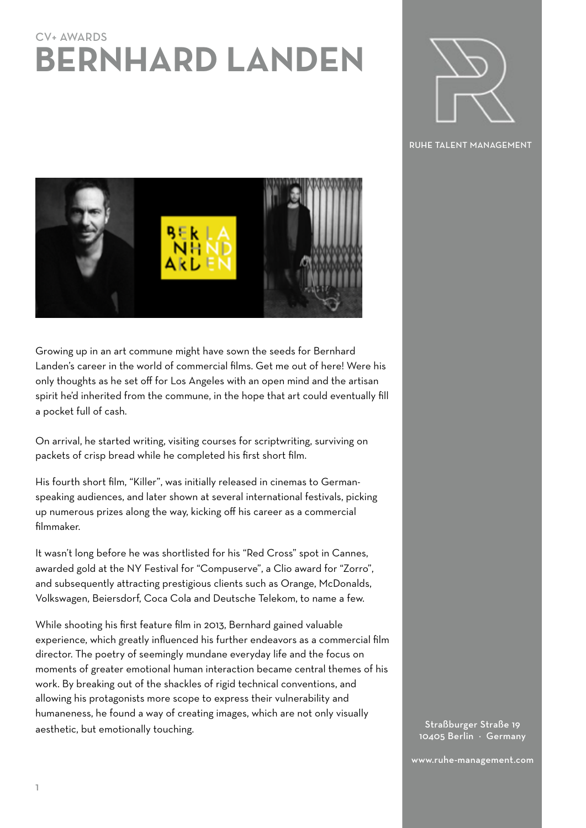# CV+ AWARDS **BERNHARD LANDEN**



RUHE TALENT MANAGEMENT

Growing up in an art commune might have sown the seeds for Bernhard Landen's career in the world of commercial films. Get me out of here! Were his only thoughts as he set off for Los Angeles with an open mind and the artisan spirit he'd inherited from the commune, in the hope that art could eventually fill a pocket full of cash.

On arrival, he started writing, visiting courses for scriptwriting, surviving on packets of crisp bread while he completed his first short film.

His fourth short film, "Killer", was initially released in cinemas to Germanspeaking audiences, and later shown at several international festivals, picking up numerous prizes along the way, kicking off his career as a commercial filmmaker.

It wasn't long before he was shortlisted for his "Red Cross" spot in Cannes, awarded gold at the NY Festival for "Compuserve", a Clio award for "Zorro", and subsequently attracting prestigious clients such as Orange, McDonalds, Volkswagen, Beiersdorf, Coca Cola and Deutsche Telekom, to name a few.

While shooting his first feature film in 2013, Bernhard gained valuable experience, which greatly influenced his further endeavors as a commercial film director. The poetry of seemingly mundane everyday life and the focus on moments of greater emotional human interaction became central themes of his work. By breaking out of the shackles of rigid technical conventions, and allowing his protagonists more scope to express their vulnerability and humaneness, he found a way of creating images, which are not only visually aesthetic, but emotionally touching.

Straßburger Straße 19 10405 Berlin · Germany

www.ruhe-management.com